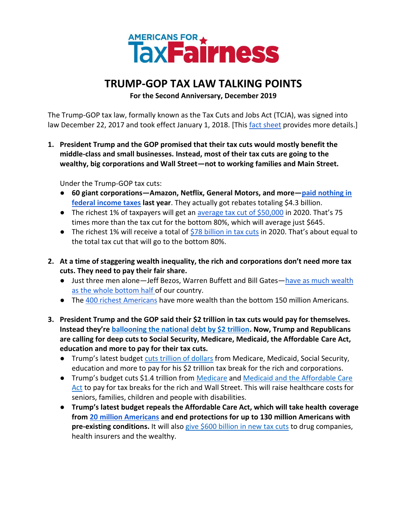## AMERICANS FOR \*\*

## **TRUMP-GOP TAX LAW TALKING POINTS**

**For the Second Anniversary, December 2019**

The Trump-GOP tax law, formally known as the Tax Cuts and Jobs Act (TCJA), was signed into law December 22, 2017 and took effect January 1, 2018. [This [fact sheet](https://docs.google.com/document/d/1HPK2CliWs0kSdUz8MRhiXsHeB8x2veUvwBZvE_A6e_o/edit?usp=sharing) provides more details.]

**1. President Trump and the GOP promised that their tax cuts would mostly benefit the middle-class and small businesses. Instead, most of their tax cuts are going to the wealthy, big corporations and Wall Street—not to working families and Main Street.** 

Under the Trump-GOP tax cuts:

- **60 giant corporations—Amazon, Netflix, General Motors, and more—[paid nothing in](https://itep.org/notadime/)  [federal income taxes](https://itep.org/notadime/) last year**. They actually got rebates totaling \$4.3 billion.
- The richest 1% of taxpayers will get an [average tax cut of \\$50,000](https://itep.org/tcja-2020/) in 2020. That's 75 times more than the tax cut for the bottom 80%, which will average just \$645.
- The richest 1% will receive a total of  $$78$  billion in tax cuts in 2020. That's about equal to the total tax cut that will go to the bottom 80%.
- **2. At a time of staggering wealth inequality, the rich and corporations don't need more tax cuts. They need to pay their fair share.**
	- Just three men alone-Jeff Bezos, Warren Buffett and Bill Gates-have as much wealth [as the whole bottom half o](https://www.politifact.com/truth-o-meter/statements/2019/jul/03/bernie-sanders/bernie-sanders-target-saying-3-richest-have-much-w/)f our country.
	- The [400 richest Americans](https://www.washingtonpost.com/us-policy/2019/02/08/wealth-concentration-returning-levels-last-seen-during-roaring-twenties-according-new-research/) have more wealth than the bottom 150 million Americans.
- **3. President Trump and the GOP said their \$2 trillion in tax cuts would pay for themselves. Instead they're [ballooning the national debt by \\$2 trillion.](https://thehill.com/policy/finance/382319-gop-tax-law-will-add-19-trillion-to-debt-cbo) Now, Trump and Republicans are calling for deep cuts to Social Security, Medicare, Medicaid, the Affordable Care Act, education and more to pay for their tax cuts.** 
	- Trump's latest budget [cuts trillion of dollars](https://americansfortaxfairness.org/summary-damage-trumps-2020-budget/) from Medicare, Medicaid, Social Security, education and more to pay for his \$2 trillion tax break for the rich and corporations.
	- Trump's budget cuts \$1.4 trillion from [Medicare](https://www.cbpp.org/blog/medicare-in-the-2020-trump-budget) and [Medicaid and the Affordable Care](https://www.cbpp.org/research/federal-budget/2020-trump-budget-a-disturbing-vision)  [Act](https://www.cbpp.org/research/federal-budget/2020-trump-budget-a-disturbing-vision) to pay for tax breaks for the rich and Wall Street. This will raise healthcare costs for seniors, families, children and people with disabilities.
	- **Trump's latest budget repeals the Affordable Care Act, which will take health coverage from [20 million Americans](https://www.healthline.com/health-news/what-to-know-about-pre-existing-conditions-with-aca-in-danger#Millions-would-lose-health-insurance) and end protections for up to 130 million Americans with**  pre-existing conditions. It will also [give \\$600 billion in new tax cuts](https://americansfortaxfairness.org/trump-admin-targets-affordable-care-act/) to drug companies, health insurers and the wealthy.